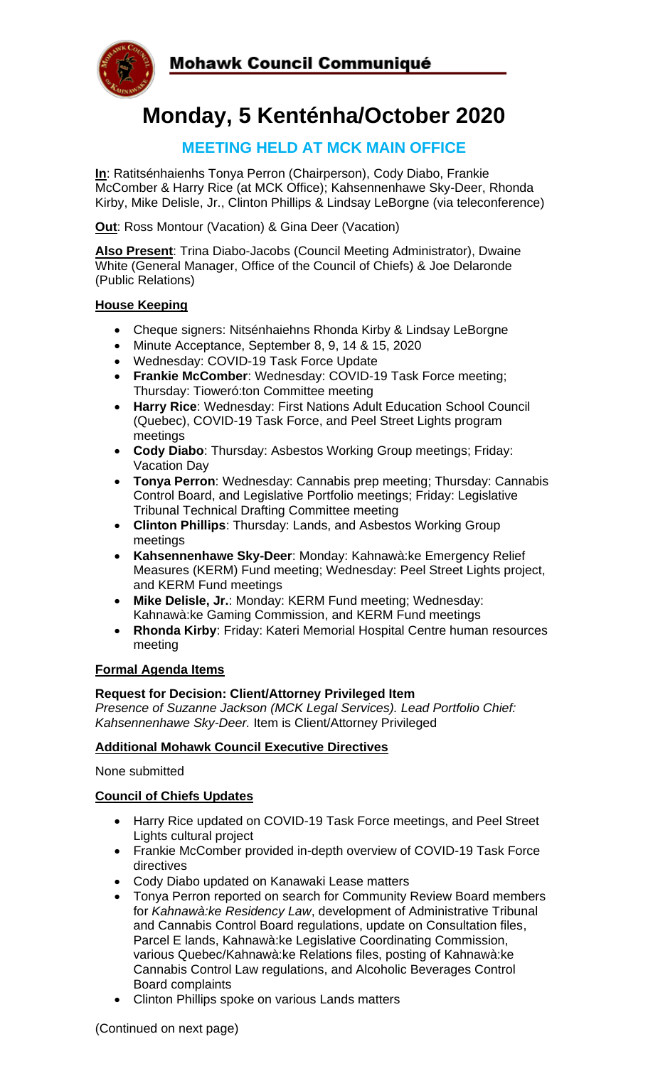

# **Monday, 5 Kenténha/October 2020**

### **MEETING HELD AT MCK MAIN OFFICE**

**In**: Ratitsénhaienhs Tonya Perron (Chairperson), Cody Diabo, Frankie McComber & Harry Rice (at MCK Office); Kahsennenhawe Sky-Deer, Rhonda Kirby, Mike Delisle, Jr., Clinton Phillips & Lindsay LeBorgne (via teleconference)

**Out**: Ross Montour (Vacation) & Gina Deer (Vacation)

**Also Present**: Trina Diabo-Jacobs (Council Meeting Administrator), Dwaine White (General Manager, Office of the Council of Chiefs) & Joe Delaronde (Public Relations)

#### **House Keeping**

- Cheque signers: Nitsénhaiehns Rhonda Kirby & Lindsay LeBorgne
- Minute Acceptance, September 8, 9, 14 & 15, 2020
- Wednesday: COVID-19 Task Force Update
- **Frankie McComber**: Wednesday: COVID-19 Task Force meeting; Thursday: Tioweró:ton Committee meeting
- **Harry Rice**: Wednesday: First Nations Adult Education School Council (Quebec), COVID-19 Task Force, and Peel Street Lights program meetings
- **Cody Diabo**: Thursday: Asbestos Working Group meetings; Friday: Vacation Day
- **Tonya Perron**: Wednesday: Cannabis prep meeting; Thursday: Cannabis Control Board, and Legislative Portfolio meetings; Friday: Legislative Tribunal Technical Drafting Committee meeting
- **Clinton Phillips**: Thursday: Lands, and Asbestos Working Group meetings
- **Kahsennenhawe Sky-Deer**: Monday: Kahnawà:ke Emergency Relief Measures (KERM) Fund meeting; Wednesday: Peel Street Lights project, and KERM Fund meetings
- **Mike Delisle, Jr.**: Monday: KERM Fund meeting; Wednesday: Kahnawà:ke Gaming Commission, and KERM Fund meetings
- **Rhonda Kirby**: Friday: Kateri Memorial Hospital Centre human resources meeting

#### **Formal Agenda Items**

#### **Request for Decision: Client/Attorney Privileged Item**

*Presence of Suzanne Jackson (MCK Legal Services). Lead Portfolio Chief: Kahsennenhawe Sky-Deer.* Item is Client/Attorney Privileged

#### **Additional Mohawk Council Executive Directives**

None submitted

#### **Council of Chiefs Updates**

- Harry Rice updated on COVID-19 Task Force meetings, and Peel Street Lights cultural project
- Frankie McComber provided in-depth overview of COVID-19 Task Force directives
- Cody Diabo updated on Kanawaki Lease matters
- Tonya Perron reported on search for Community Review Board members for *Kahnawà:ke Residency Law*, development of Administrative Tribunal and Cannabis Control Board regulations, update on Consultation files, Parcel E lands, Kahnawà:ke Legislative Coordinating Commission, various Quebec/Kahnawà:ke Relations files, posting of Kahnawà:ke Cannabis Control Law regulations, and Alcoholic Beverages Control Board complaints
- Clinton Phillips spoke on various Lands matters